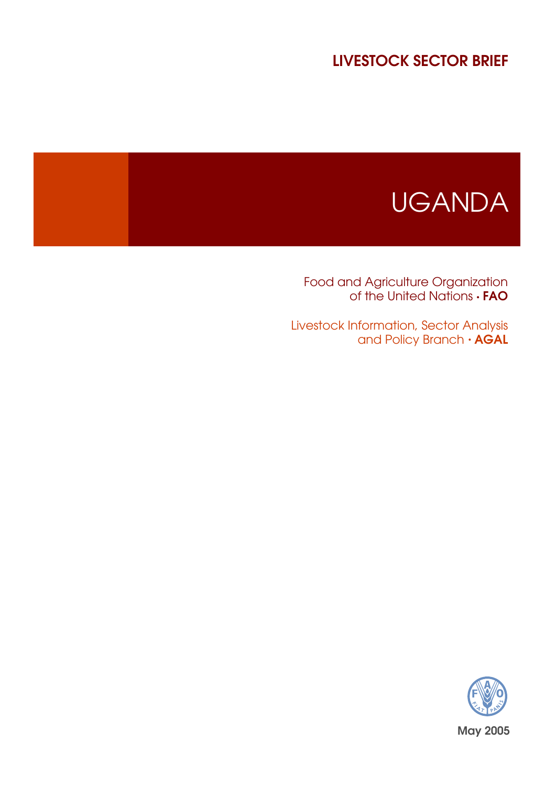# LIVESTOCK SECTOR BRIEF



Food and Agriculture Organization of the United Nations  $\cdot$  **FAO** 

Livestock Information, Sector Analysis and Policy Branch  $\cdot$  AGAL

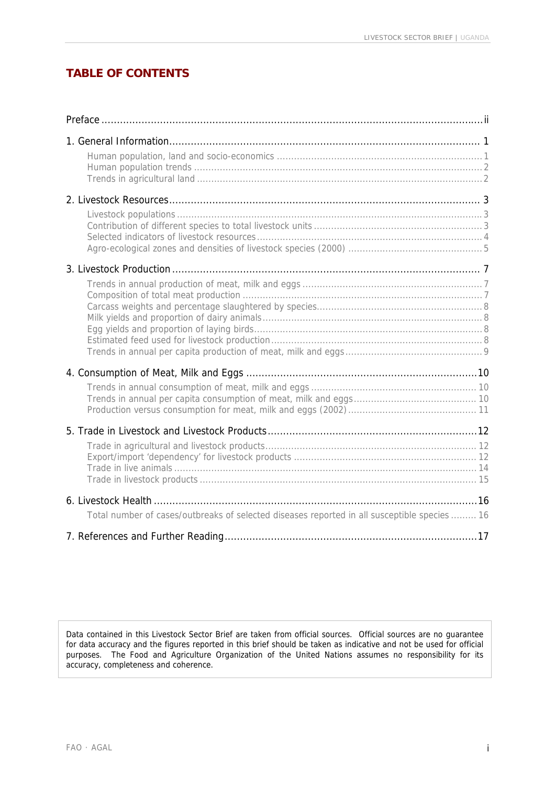# **TABLE OF CONTENTS**

| Total number of cases/outbreaks of selected diseases reported in all susceptible species  16 |  |
|----------------------------------------------------------------------------------------------|--|
|                                                                                              |  |

Data contained in this Livestock Sector Brief are taken from official sources. Official sources are no guarantee for data accuracy and the figures reported in this brief should be taken as indicative and not be used for official purposes. The Food and Agriculture Organization of the United Nations assumes no responsibility for its accuracy, completeness and coherence.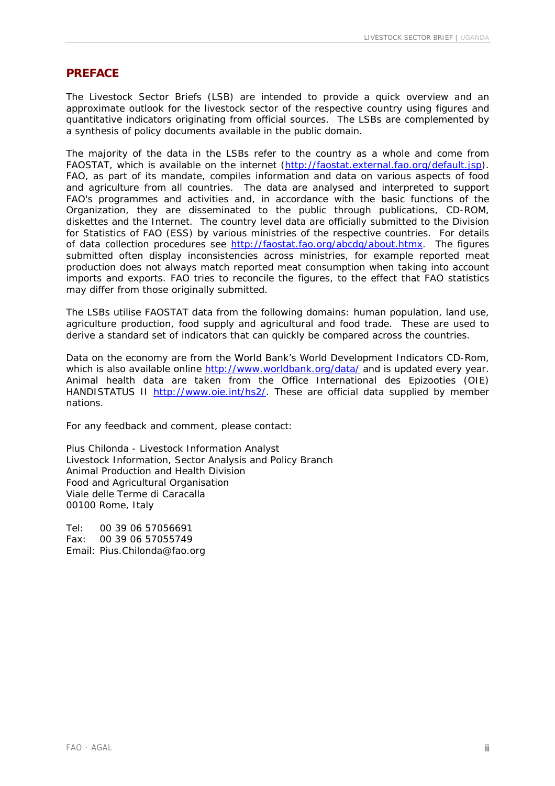#### **PREFACE**

The Livestock Sector Briefs (LSB) are intended to provide a quick overview and an approximate outlook for the livestock sector of the respective country using figures and quantitative indicators originating from official sources. The LSBs are complemented by a synthesis of policy documents available in the public domain.

The majority of the data in the LSBs refer to the country as a whole and come from FAOSTAT, which is available on the internet (<http://faostat.external.fao.org/default.jsp>). FAO, as part of its mandate, compiles information and data on various aspects of food and agriculture from all countries. The data are analysed and interpreted to support FAO's programmes and activities and, in accordance with the basic functions of the Organization, they are disseminated to the public through publications, CD-ROM, diskettes and the Internet. The country level data are officially submitted to the Division for Statistics of FAO (ESS) by various ministries of the respective countries. For details of data collection procedures see [http://faostat.fao.org/abcdq/about.htmx.](http://faostat.fao.org/abcdq/about.htmx) The figures submitted often display inconsistencies across ministries, for example reported meat production does not always match reported meat consumption when taking into account imports and exports. FAO tries to reconcile the figures, to the effect that FAO statistics may differ from those originally submitted.

The LSBs utilise FAOSTAT data from the following domains: human population, land use, agriculture production, food supply and agricultural and food trade. These are used to derive a standard set of indicators that can quickly be compared across the countries.

Data on the economy are from the World Bank's World Development Indicators CD-Rom, which is also available online <http://www.worldbank.org/data/>and is updated every year. Animal health data are taken from the Office International des Epizooties (OIE) HANDISTATUS II [http://www.oie.int/hs2/.](http://www.oie.int/hs2/) These are official data supplied by member nations.

For any feedback and comment, please contact:

Pius Chilonda - Livestock Information Analyst Livestock Information, Sector Analysis and Policy Branch Animal Production and Health Division Food and Agricultural Organisation Viale delle Terme di Caracalla 00100 Rome, Italy

Tel: 00 39 06 57056691 Fax: 00 39 06 57055749 Email: Pius.Chilonda@fao.org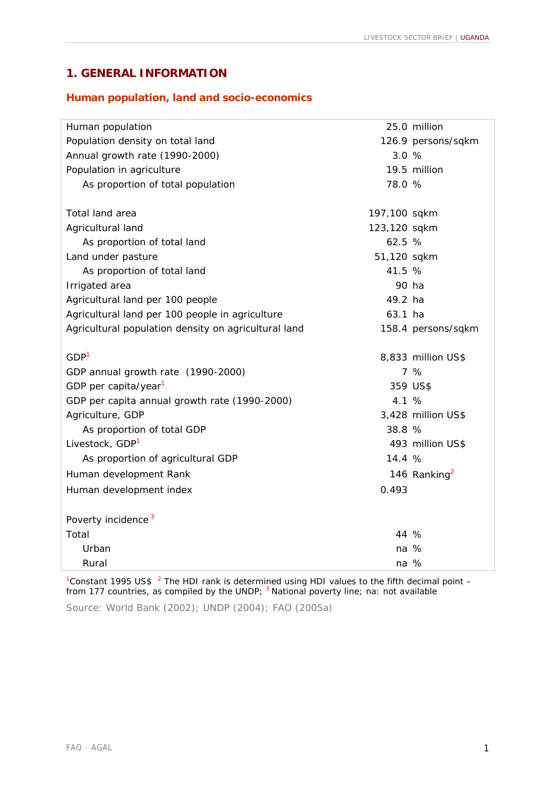# **1. GENERAL INFORMATION**

#### **Human population, land and socio-economics**

| Human population                                     |              | 25.0 million             |
|------------------------------------------------------|--------------|--------------------------|
| Population density on total land                     |              | 126.9 persons/sqkm       |
| Annual growth rate (1990-2000)                       | 3.0 %        |                          |
| Population in agriculture                            |              | 19.5 million             |
| As proportion of total population                    | 78.0 %       |                          |
|                                                      |              |                          |
| Total land area                                      | 197,100 sqkm |                          |
| Agricultural land                                    | 123,120 sqkm |                          |
| As proportion of total land                          | 62.5 %       |                          |
| Land under pasture                                   | 51,120 sqkm  |                          |
| As proportion of total land                          | 41.5 %       |                          |
| Irrigated area                                       | 90 ha        |                          |
| Agricultural land per 100 people                     | 49.2 ha      |                          |
| Agricultural land per 100 people in agriculture      | 63.1 ha      |                          |
| Agricultural population density on agricultural land |              | 158.4 persons/sqkm       |
| GDP <sup>1</sup>                                     |              | 8,833 million US\$       |
| GDP annual growth rate (1990-2000)                   |              | 7%                       |
| GDP per capita/year <sup>1</sup>                     |              | 359 US\$                 |
| GDP per capita annual growth rate (1990-2000)        | 4.1 %        |                          |
| Agriculture, GDP                                     |              | 3,428 million US\$       |
| As proportion of total GDP                           | 38.8 %       |                          |
| Livestock, GDP <sup>1</sup>                          |              | 493 million US\$         |
| As proportion of agricultural GDP                    | 14.4 %       |                          |
| Human development Rank                               |              | 146 Ranking <sup>2</sup> |
| Human development index                              | 0.493        |                          |
| Poverty incidence <sup>3</sup>                       |              |                          |
| Total                                                | 44 %         |                          |
| Urban                                                | na %         |                          |
| Rural                                                | na %         |                          |

<sup>1</sup> Constant 1995 US\$  $^{-2}$  The HDI rank is determined using HDI values to the fifth decimal point  $$ from 177 countries, as compiled by the UNDP; <sup>3</sup> National poverty line; na: not available

Source: World Bank (2002); UNDP (2004); FAO (2005a)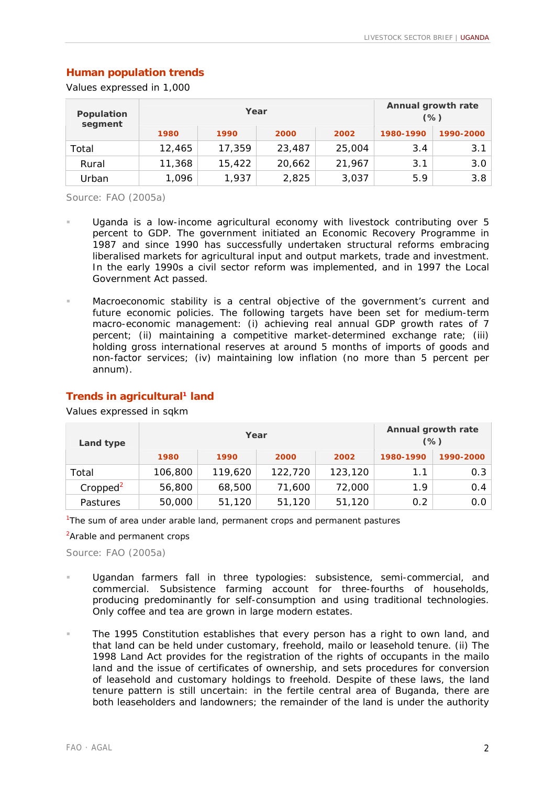## **Human population trends**

Values expressed in 1,000

| Population<br>segment |        | Year   | Annual growth rate<br>$(\%)$ |        |           |           |
|-----------------------|--------|--------|------------------------------|--------|-----------|-----------|
|                       | 1980   | 1990   | 2000                         | 2002   | 1980-1990 | 1990-2000 |
| Total                 | 12,465 | 17,359 | 23,487                       | 25,004 | 3.4       | 3.1       |
| Rural                 | 11,368 | 15,422 | 20,662                       | 21,967 | 3.1       | 3.0       |
| Urban                 | 1,096  | 1,937  | 2,825                        | 3,037  | 5.9       | 3.8       |

Source: FAO (2005a)

- Uganda is a low-income agricultural economy with livestock contributing over 5 percent to GDP. The government initiated an Economic Recovery Programme in 1987 and since 1990 has successfully undertaken structural reforms embracing liberalised markets for agricultural input and output markets, trade and investment. In the early 1990s a civil sector reform was implemented, and in 1997 the Local Government Act passed.
- Macroeconomic stability is a central objective of the government's current and future economic policies. The following targets have been set for medium-term macro-economic management: (i) achieving real annual GDP growth rates of 7 percent; (ii) maintaining a competitive market-determined exchange rate; (iii) holding gross international reserves at around 5 months of imports of goods and non-factor services; (iv) maintaining low inflation (no more than 5 percent per annum).

| Land type            |         | Year    | Annual growth rate<br>$(\%)$ |         |           |           |
|----------------------|---------|---------|------------------------------|---------|-----------|-----------|
|                      | 1980    | 1990    | 2000                         | 2002    | 1980-1990 | 1990-2000 |
| Total                | 106,800 | 119,620 | 122,720                      | 123,120 | 1.1       | 0.3       |
| Cropped <sup>2</sup> | 56,800  | 68,500  | 71,600                       | 72,000  | 1.9       | 0.4       |
| <b>Pastures</b>      | 50,000  | 51,120  | 51,120                       | 51,120  | 0.2       | 0.0       |

#### **Trends in agricultural1 land**

Values expressed in sqkm

<sup>1</sup>The sum of area under arable land, permanent crops and permanent pastures

<sup>2</sup> Arable and permanent crops

- Ugandan farmers fall in three typologies: subsistence, semi-commercial, and commercial. Subsistence farming account for three-fourths of households, producing predominantly for self-consumption and using traditional technologies. Only coffee and tea are grown in large modern estates.
- The 1995 Constitution establishes that every person has a right to own land, and that land can be held under customary, freehold, *mailo* or leasehold tenure. (ii) The 1998 Land Act provides for the registration of the rights of occupants in the *mailo* land and the issue of certificates of ownership, and sets procedures for conversion of leasehold and customary holdings to freehold. Despite of these laws, the land tenure pattern is still uncertain: in the fertile central area of Buganda, there are both leaseholders and landowners; the remainder of the land is under the authority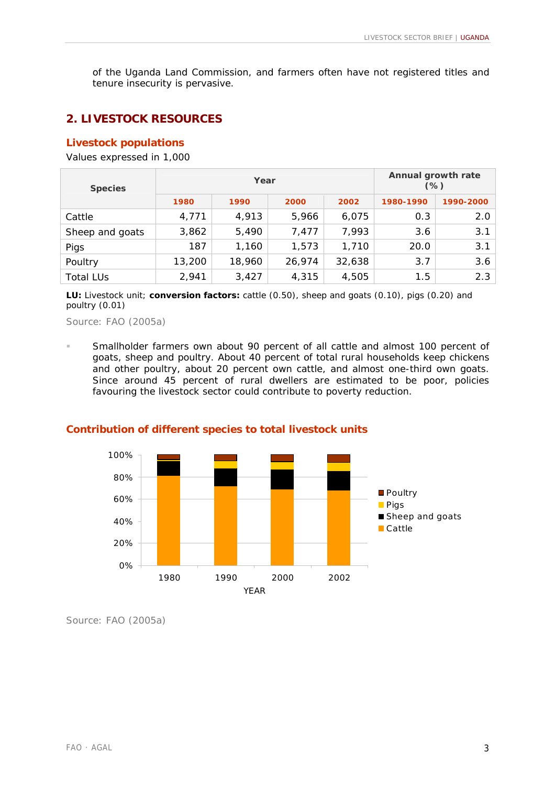of the Uganda Land Commission, and farmers often have not registered titles and tenure insecurity is pervasive.

# **2. LIVESTOCK RESOURCES**

### **Livestock populations**

Values expressed in 1,000

| <b>Species</b>   |        | Year   | Annual growth rate<br>$(\%)$ |        |           |           |
|------------------|--------|--------|------------------------------|--------|-----------|-----------|
|                  | 1980   | 1990   | 2000                         | 2002   | 1980-1990 | 1990-2000 |
| Cattle           | 4,771  | 4,913  | 5,966                        | 6,075  | 0.3       | 2.0       |
| Sheep and goats  | 3,862  | 5,490  | 7,477                        | 7,993  | 3.6       | 3.1       |
| Pigs             | 187    | 1,160  | 1,573                        | 1,710  | 20.0      | 3.1       |
| Poultry          | 13,200 | 18,960 | 26,974                       | 32,638 | 3.7       | 3.6       |
| <b>Total LUs</b> | 2,941  | 3,427  | 4,315                        | 4,505  | 1.5       | 2.3       |

**LU:** *Livestock unit*; **conversion factors:** cattle (0.50), sheep and goats (0.10), pigs (0.20) and poultry (0.01)

Source: FAO (2005a)

! Smallholder farmers own about 90 percent of all cattle and almost 100 percent of goats, sheep and poultry. About 40 percent of total rural households keep chickens and other poultry, about 20 percent own cattle, and almost one-third own goats. Since around 45 percent of rural dwellers are estimated to be poor, policies favouring the livestock sector could contribute to poverty reduction.



#### **Contribution of different species to total livestock units**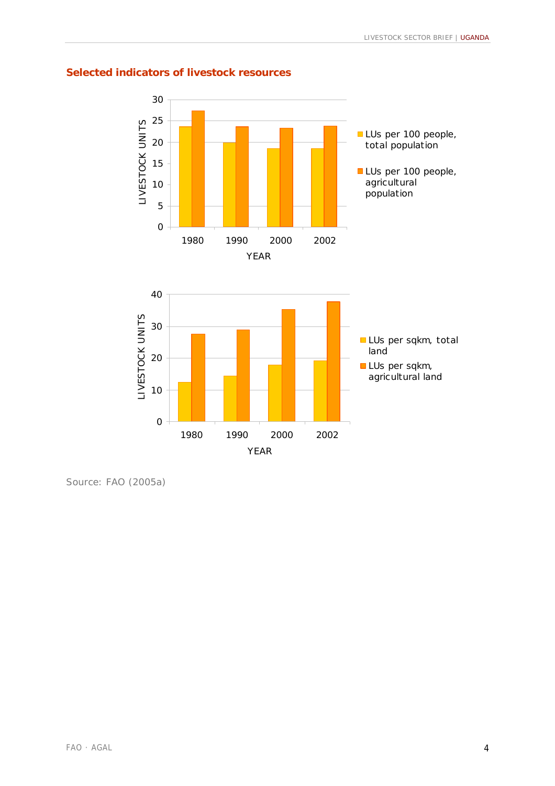

## **Selected indicators of livestock resources**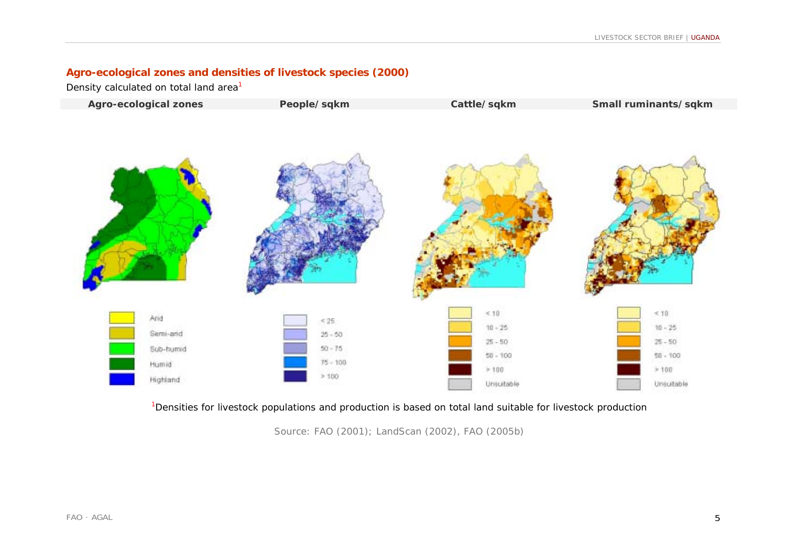## **Agro-ecological zones and densities of livestock species (2000)**

Density calculated on total land area<sup>1</sup>



<sup>1</sup>Densities for livestock populations and production is based on total land suitable for livestock production

Source: FAO (2001); LandScan (2002), FAO (2005b)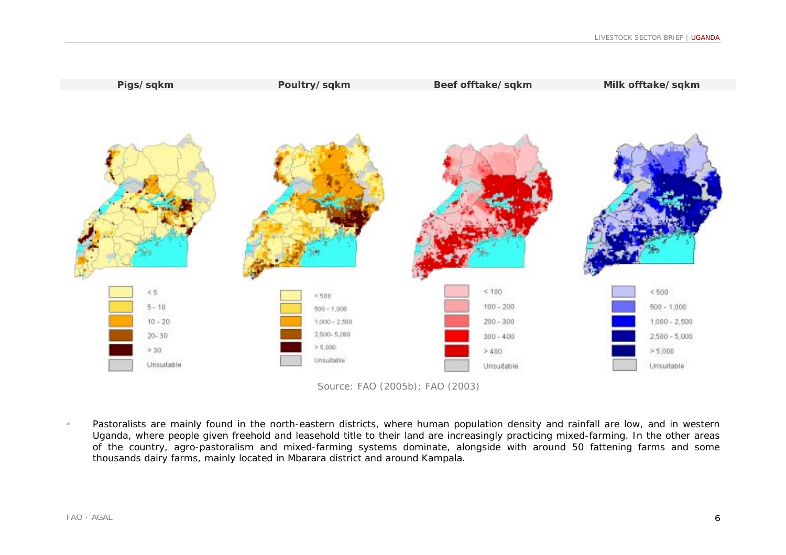



 Pastoralists are mainly found in the north-eastern districts, where human population density and rainfall are low, and in western Uganda, where people given freehold and leasehold title to their land are increasingly practicing mixed-farming. In the other areas of the country, agro-pastoralism and mixed-farming systems dominate, alongside with around 50 fattening farms and some thousands dairy farms, mainly located in Mbarara district and around Kampala.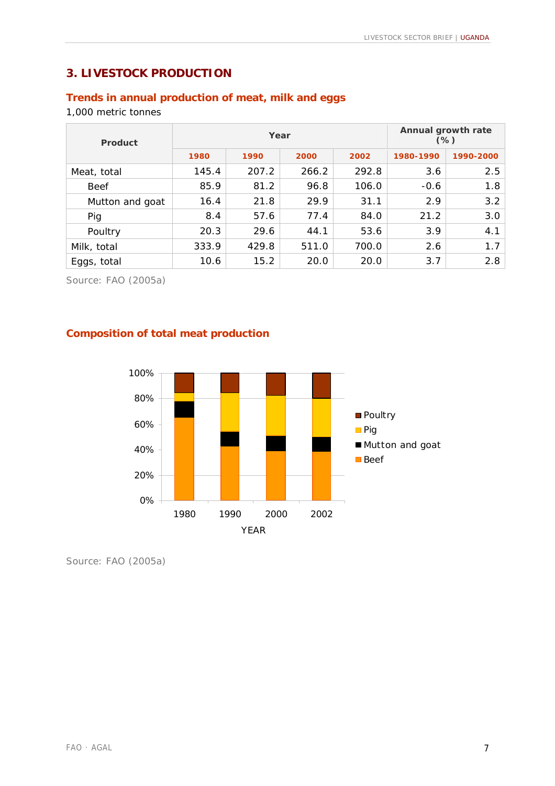# **3. LIVESTOCK PRODUCTION**

# **Trends in annual production of meat, milk and eggs**

#### 1,000 metric tonnes

| Product         |       | Year  | Annual growth rate<br>$(\%)$ |       |           |           |
|-----------------|-------|-------|------------------------------|-------|-----------|-----------|
|                 | 1980  | 1990  | 2000                         | 2002  | 1980-1990 | 1990-2000 |
| Meat, total     | 145.4 | 207.2 | 266.2                        | 292.8 | 3.6       | 2.5       |
| <b>Beef</b>     | 85.9  | 81.2  | 96.8                         | 106.0 | $-0.6$    | 1.8       |
| Mutton and goat | 16.4  | 21.8  | 29.9                         | 31.1  | 2.9       | 3.2       |
| Pig             | 8.4   | 57.6  | 77.4                         | 84.0  | 21.2      | 3.0       |
| Poultry         | 20.3  | 29.6  | 44.1                         | 53.6  | 3.9       | 4.1       |
| Milk, total     | 333.9 | 429.8 | 511.0                        | 700.0 | 2.6       | 1.7       |
| Eggs, total     | 10.6  | 15.2  | 20.0                         | 20.0  | 3.7       | 2.8       |

Source: FAO (2005a)

# **Composition of total meat production**

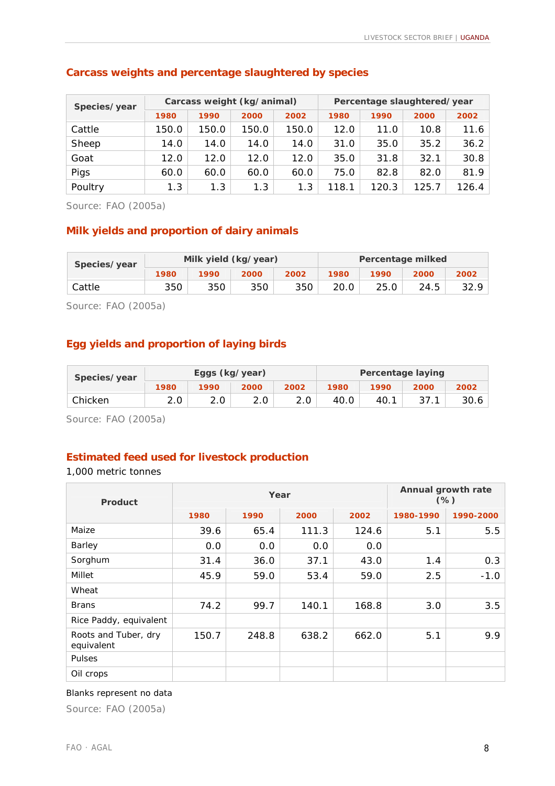| Species/year |       |       | Carcass weight (kg/animal) |       | Percentage slaughtered/year |       |       |       |
|--------------|-------|-------|----------------------------|-------|-----------------------------|-------|-------|-------|
|              | 1980  | 1990  | 2000                       | 2002  | 1980                        | 1990  | 2000  | 2002  |
| Cattle       | 150.0 | 150.0 | 150.0                      | 150.0 | 12.0                        | 11.0  | 10.8  | 11.6  |
| Sheep        | 14.0  | 14.0  | 14.0                       | 14.0  | 31.0                        | 35.0  | 35.2  | 36.2  |
| Goat         | 12.0  | 12.0  | 12.0                       | 12.0  | 35.0                        | 31.8  | 32.1  | 30.8  |
| Pigs         | 60.0  | 60.0  | 60.0                       | 60.0  | 75.0                        | 82.8  | 82.0  | 81.9  |
| Poultry      | 1.3   | 1.3   | 1.3                        | 1.3   | 118.1                       | 120.3 | 125.7 | 126.4 |

#### **Carcass weights and percentage slaughtered by species**

Source: FAO (2005a)

#### **Milk yields and proportion of dairy animals**

| Species/year |      |      | Milk yield (kg/year) |      | Percentage milked |      |      |      |
|--------------|------|------|----------------------|------|-------------------|------|------|------|
|              | 1980 | 1990 | 2000                 | 2002 | 1980              | 1990 | 2000 | 2002 |
| Cattle       | 350  | 350  | 350                  | 350  | 20.0              | 25.0 | 24.5 | 32.9 |

Source: FAO (2005a)

### **Egg yields and proportion of laying birds**

| Species/year |      | Eggs (kg/year) |      |      | <b>Percentage laying</b> |      |      |      |
|--------------|------|----------------|------|------|--------------------------|------|------|------|
|              | 1980 | 1990           | 2000 | 2002 | 1980                     | 1990 | 2000 | 2002 |
| Chicken      |      |                | 2.0  | 2.0  | 40.0                     | 40.1 |      | 30.6 |

Source: FAO (2005a)

## **Estimated feed used for livestock production**

1,000 metric tonnes

| <b>Product</b>                     |       | Year  | Annual growth rate<br>$(\%)$ |       |           |           |
|------------------------------------|-------|-------|------------------------------|-------|-----------|-----------|
|                                    | 1980  | 1990  | 2000                         | 2002  | 1980-1990 | 1990-2000 |
| Maize                              | 39.6  | 65.4  | 111.3                        | 124.6 | 5.1       | 5.5       |
| Barley                             | 0.0   | 0.0   | 0.0                          | 0.0   |           |           |
| Sorghum                            | 31.4  | 36.0  | 37.1                         | 43.0  | 1.4       | 0.3       |
| Millet                             | 45.9  | 59.0  | 53.4                         | 59.0  | 2.5       | $-1.0$    |
| Wheat                              |       |       |                              |       |           |           |
| <b>Brans</b>                       | 74.2  | 99.7  | 140.1                        | 168.8 | 3.0       | 3.5       |
| Rice Paddy, equivalent             |       |       |                              |       |           |           |
| Roots and Tuber, dry<br>equivalent | 150.7 | 248.8 | 638.2                        | 662.0 | 5.1       | 9.9       |
| <b>Pulses</b>                      |       |       |                              |       |           |           |
| Oil crops                          |       |       |                              |       |           |           |

#### Blanks represent no data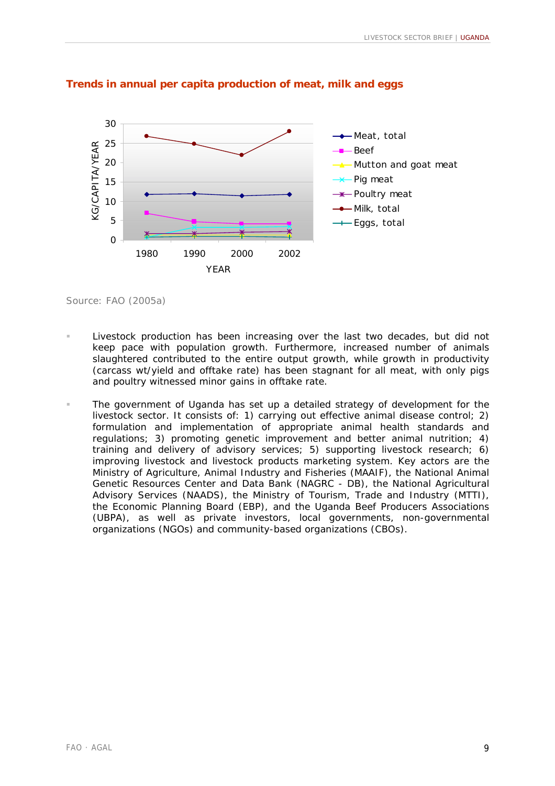

#### **Trends in annual per capita production of meat, milk and eggs**

- Livestock production has been increasing over the last two decades, but did not keep pace with population growth. Furthermore, increased number of animals slaughtered contributed to the entire output growth, while growth in productivity (carcass wt/yield and offtake rate) has been stagnant for all meat, with only pigs and poultry witnessed minor gains in offtake rate.
- The government of Uganda has set up a detailed strategy of development for the livestock sector. It consists of: 1) carrying out effective animal disease control; 2) formulation and implementation of appropriate animal health standards and regulations; 3) promoting genetic improvement and better animal nutrition; 4) training and delivery of advisory services; 5) supporting livestock research; 6) improving livestock and livestock products marketing system. Key actors are the Ministry of Agriculture, Animal Industry and Fisheries (MAAIF), the National Animal Genetic Resources Center and Data Bank (NAGRC - DB), the National Agricultural Advisory Services (NAADS), the Ministry of Tourism, Trade and Industry (MTTI), the Economic Planning Board (EBP), and the Uganda Beef Producers Associations (UBPA), as well as private investors, local governments, non-governmental organizations (NGOs) and community-based organizations (CBOs).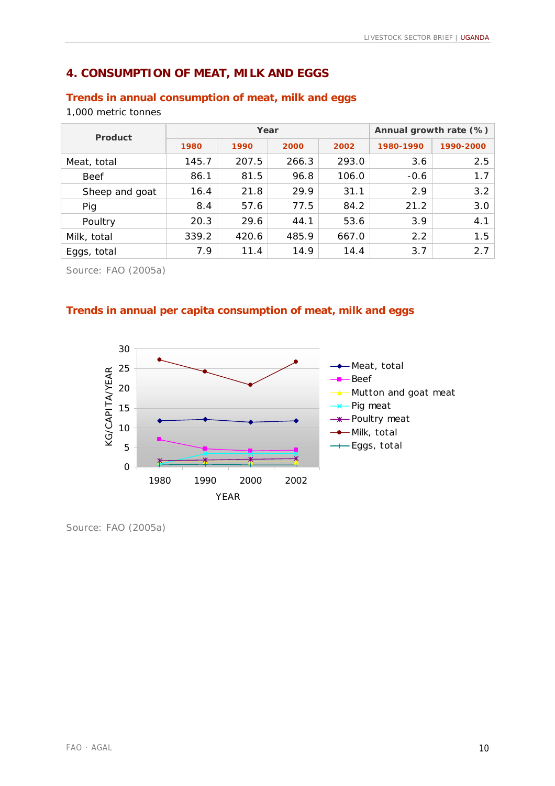# **4. CONSUMPTION OF MEAT, MILK AND EGGS**

## **Trends in annual consumption of meat, milk and eggs**

1,000 metric tonnes

| Product        |       | Year  | Annual growth rate (%) |       |           |           |
|----------------|-------|-------|------------------------|-------|-----------|-----------|
|                | 1980  | 1990  | 2000                   | 2002  | 1980-1990 | 1990-2000 |
| Meat, total    | 145.7 | 207.5 | 266.3                  | 293.0 | 3.6       | 2.5       |
| <b>Beef</b>    | 86.1  | 81.5  | 96.8                   | 106.0 | $-0.6$    | $1.7-1$   |
| Sheep and goat | 16.4  | 21.8  | 29.9                   | 31.1  | 2.9       | 3.2       |
| Pig            | 8.4   | 57.6  | 77.5                   | 84.2  | 21.2      | 3.0       |
| Poultry        | 20.3  | 29.6  | 44.1                   | 53.6  | 3.9       | 4.1       |
| Milk, total    | 339.2 | 420.6 | 485.9                  | 667.0 | 2.2       | 1.5       |
| Eggs, total    | 7.9   | 11.4  | 14.9                   | 14.4  | 3.7       | 2.7       |

Source: FAO (2005a)

## **Trends in annual per capita consumption of meat, milk and eggs**

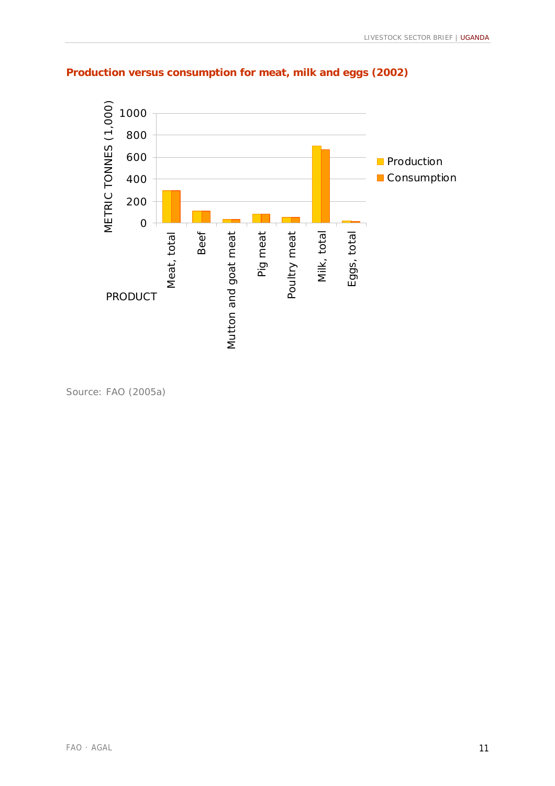

# **Production versus consumption for meat, milk and eggs (2002)**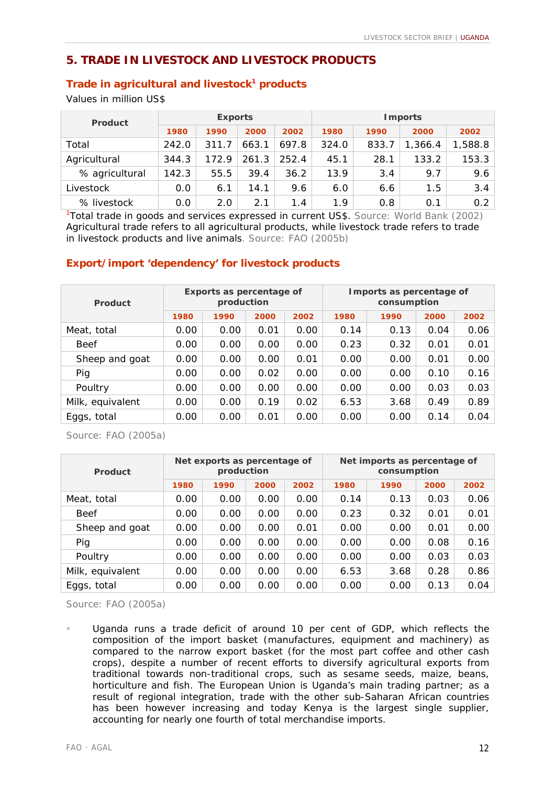# **5. TRADE IN LIVESTOCK AND LIVESTOCK PRODUCTS**

#### **Trade in agricultural and livestock<sup>1</sup> products**

Values in million US\$

| <b>Product</b> |       | <b>Exports</b> |       |       | <b>I</b> mports |       |         |         |
|----------------|-------|----------------|-------|-------|-----------------|-------|---------|---------|
|                | 1980  | 1990           | 2000  | 2002  | 1980            | 1990  | 2000    | 2002    |
| Total          | 242.0 | 311.7          | 663.1 | 697.8 | 324.0           | 833.7 | 1,366.4 | 1,588.8 |
| Agricultural   | 344.3 | 172.9          | 261.3 | 252.4 | 45.1            | 28.1  | 133.2   | 153.3   |
| % agricultural | 142.3 | 55.5           | 39.4  | 36.2  | 13.9            | 3.4   | 9.7     | 9.6     |
| Livestock      | 0.0   | 6.1            | 14.1  | 9.6   | 6.0             | 6.6   | 1.5     | 3.4     |
| % livestock    | 0.0   | 2.0            | 2.1   | 1.4   | 1.9             | 0.8   | 0.1     | 0.2     |

<sup>1</sup>Total trade in goods and services expressed in current US\$. Source: World Bank (2002) Agricultural trade refers to all agricultural products, while livestock trade refers to trade in livestock products and live animals. Source: FAO (2005b)

## **Export/import 'dependency' for livestock products**

| Product          |      | Exports as percentage of<br>production |      |      | Imports as percentage of<br>consumption |      |      |      |  |  |
|------------------|------|----------------------------------------|------|------|-----------------------------------------|------|------|------|--|--|
|                  | 1980 | 1990                                   | 2000 | 2002 | 1980                                    | 1990 | 2000 | 2002 |  |  |
| Meat, total      | 0.00 | 0.00                                   | 0.01 | 0.00 | 0.14                                    | 0.13 | 0.04 | 0.06 |  |  |
| <b>Beef</b>      | 0.00 | 0.00                                   | 0.00 | 0.00 | 0.23                                    | 0.32 | 0.01 | 0.01 |  |  |
| Sheep and goat   | 0.00 | 0.00                                   | 0.00 | 0.01 | 0.00                                    | 0.00 | 0.01 | 0.00 |  |  |
| Pig              | 0.00 | 0.00                                   | 0.02 | 0.00 | 0.00                                    | 0.00 | 0.10 | 0.16 |  |  |
| Poultry          | 0.00 | 0.00                                   | 0.00 | 0.00 | 0.00                                    | 0.00 | 0.03 | 0.03 |  |  |
| Milk, equivalent | 0.00 | 0.00                                   | 0.19 | 0.02 | 6.53                                    | 3.68 | 0.49 | 0.89 |  |  |
| Eggs, total      | 0.00 | 0.00                                   | 0.01 | 0.00 | 0.00                                    | 0.00 | 0.14 | 0.04 |  |  |

Source: FAO (2005a)

| Product          |      | Net exports as percentage of<br>production |      |      | Net imports as percentage of<br>consumption |      |      |      |  |  |
|------------------|------|--------------------------------------------|------|------|---------------------------------------------|------|------|------|--|--|
|                  | 1980 | 1990                                       | 2000 | 2002 | 1980                                        | 1990 | 2000 | 2002 |  |  |
| Meat, total      | 0.00 | 0.00                                       | 0.00 | 0.00 | 0.14                                        | 0.13 | 0.03 | 0.06 |  |  |
| <b>Beef</b>      | 0.00 | 0.00                                       | 0.00 | 0.00 | 0.23                                        | 0.32 | 0.01 | 0.01 |  |  |
| Sheep and goat   | 0.00 | 0.00                                       | 0.00 | 0.01 | 0.00                                        | 0.00 | 0.01 | 0.00 |  |  |
| Pig              | 0.00 | 0.00                                       | 0.00 | 0.00 | 0.00                                        | 0.00 | 0.08 | 0.16 |  |  |
| Poultry          | 0.00 | 0.00                                       | 0.00 | 0.00 | 0.00                                        | 0.00 | 0.03 | 0.03 |  |  |
| Milk, equivalent | 0.00 | 0.00                                       | 0.00 | 0.00 | 6.53                                        | 3.68 | 0.28 | 0.86 |  |  |
| Eggs, total      | 0.00 | 0.00                                       | 0.00 | 0.00 | 0.00                                        | 0.00 | 0.13 | 0.04 |  |  |

Source: FAO (2005a)

! Uganda runs a trade deficit of around 10 per cent of GDP, which reflects the composition of the import basket (manufactures, equipment and machinery) as compared to the narrow export basket (for the most part coffee and other cash crops), despite a number of recent efforts to diversify agricultural exports from traditional towards non-traditional crops, such as sesame seeds, maize, beans, horticulture and fish. The European Union is Uganda's main trading partner; as a result of regional integration, trade with the other sub-Saharan African countries has been however increasing and today Kenya is the largest single supplier, accounting for nearly one fourth of total merchandise imports.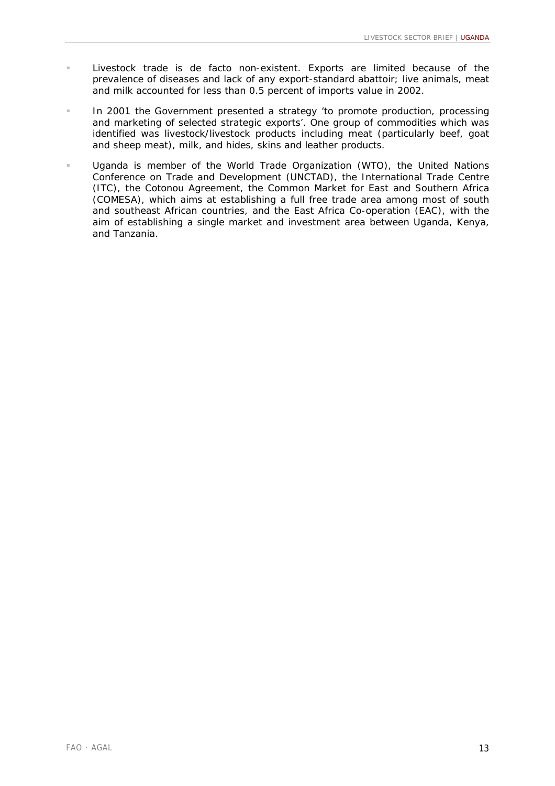- Livestock trade is de facto non-existent. Exports are limited because of the prevalence of diseases and lack of any export-standard abattoir; live animals, meat and milk accounted for less than 0.5 percent of imports value in 2002.
- **IF Lack 2001 the Government presented a strategy 'to promote production, processing** and marketing of selected strategic exports'. One group of commodities which was identified was livestock/livestock products including meat (particularly beef, goat and sheep meat), milk, and hides, skins and leather products.
- Uganda is member of the World Trade Organization (WTO), the United Nations Conference on Trade and Development (UNCTAD), the International Trade Centre (ITC), the Cotonou Agreement, the Common Market for East and Southern Africa (COMESA), which aims at establishing a full free trade area among most of south and southeast African countries, and the East Africa Co-operation (EAC), with the aim of establishing a single market and investment area between Uganda, Kenya, and Tanzania.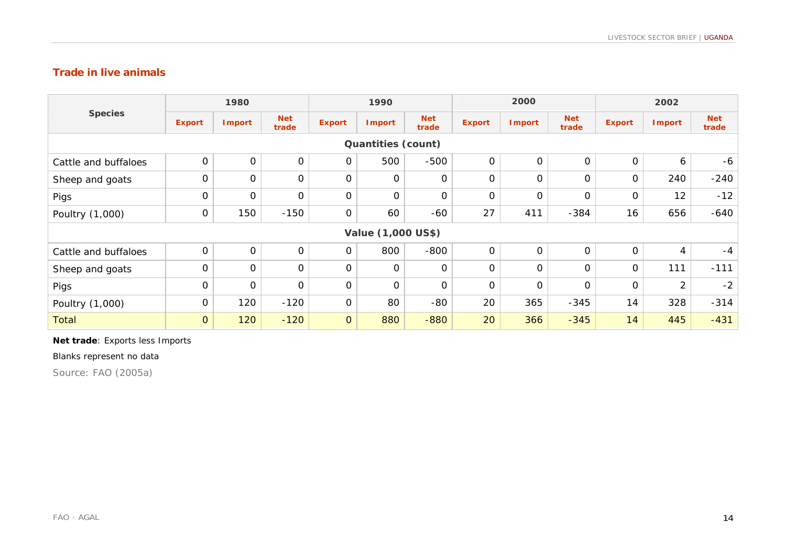## **Trade in live animals**

| <b>Species</b>            | 1980           |                     |                     | 1990                |               |                     | 2000           |               |                     | 2002          |                |                     |
|---------------------------|----------------|---------------------|---------------------|---------------------|---------------|---------------------|----------------|---------------|---------------------|---------------|----------------|---------------------|
|                           | <b>Export</b>  | <b>Import</b>       | <b>Net</b><br>trade | <b>Export</b>       | <b>Import</b> | <b>Net</b><br>trade | <b>Export</b>  | <b>Import</b> | <b>Net</b><br>trade | <b>Export</b> | <b>Import</b>  | <b>Net</b><br>trade |
| <b>Quantities (count)</b> |                |                     |                     |                     |               |                     |                |               |                     |               |                |                     |
| Cattle and buffaloes      | $\mathbf{O}$   | $\mathsf{O}\xspace$ | $\mathbf 0$         | $\mathbf 0$         | 500           | $-500$              | $\mathbf 0$    | $\mathbf 0$   | $\mathsf O$         | $\mathbf 0$   | 6              | -6                  |
| Sheep and goats           | $\mathbf{O}$   | $\mathsf O$         | $\mathbf 0$         | $\mathsf O$         | 0             | 0                   | $\mathbf 0$    | $\mathbf{O}$  | $\mathbf 0$         | $\mathbf 0$   | 240            | $-240$              |
| Pigs                      | $\overline{0}$ | $\mathbf{O}$        | $\Omega$            | $\mathbf 0$         | $\mathbf 0$   | $\mathbf 0$         | $\mathbf 0$    | $\Omega$      | $\Omega$            | $\Omega$      | 12             | $-12$               |
| Poultry (1,000)           | $\mathbf 0$    | 150                 | $-150$              | $\mathsf O$         | 60            | $-60$               | 27             | 411           | $-384$              | 16            | 656            | $-640$              |
| <b>Value (1,000 US\$)</b> |                |                     |                     |                     |               |                     |                |               |                     |               |                |                     |
| Cattle and buffaloes      | $\mathbf 0$    | $\mathsf O$         | 0                   | $\mathsf O$         | 800           | $-800$              | $\mathsf{O}$   | $\mathbf{O}$  | $\mathsf O$         | $\mathbf 0$   | 4              | $-4$                |
| Sheep and goats           | $\overline{0}$ | $\mathbf 0$         | $\mathbf 0$         | $\mathbf 0$         | $\mathbf 0$   | $\mathbf 0$         | $\overline{0}$ | $\mathbf 0$   | $\mathsf O$         | $\mathbf 0$   | 111            | $-111$              |
| Pigs                      | 0              | $\mathsf{O}$        | 0                   | $\mathsf O$         | 0             | 0                   | 0              | $\mathbf{O}$  | 0                   | 0             | $\overline{2}$ | $-2$                |
| Poultry (1,000)           | $\mathbf 0$    | 120                 | $-120$              | $\mathbf 0$         | 80            | $-80$               | 20             | 365           | $-345$              | 14            | 328            | $-314$              |
| <b>Total</b>              | $\overline{O}$ | 120                 | $-120$              | $\mathsf{O}\xspace$ | 880           | $-880$              | 20             | 366           | $-345$              | 14            | 445            | $-431$              |

#### **Net trade**: Exports less Imports

Blanks represent no data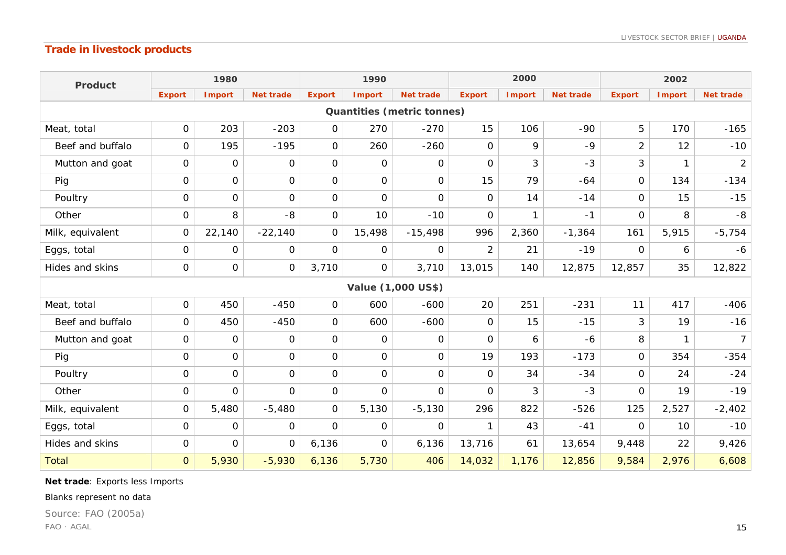# **Trade in livestock products**

| <b>Product</b>                    | 1980           |                |                  | 1990           |                |                    | 2000           |               |                  | 2002           |               |                  |
|-----------------------------------|----------------|----------------|------------------|----------------|----------------|--------------------|----------------|---------------|------------------|----------------|---------------|------------------|
|                                   | <b>Export</b>  | <b>Import</b>  | <b>Net trade</b> | <b>Export</b>  | <b>Import</b>  | <b>Net trade</b>   | <b>Export</b>  | <b>Import</b> | <b>Net trade</b> | <b>Export</b>  | <b>Import</b> | <b>Net trade</b> |
| <b>Quantities (metric tonnes)</b> |                |                |                  |                |                |                    |                |               |                  |                |               |                  |
| Meat, total                       | $\mathbf 0$    | 203            | $-203$           | 0              | 270            | $-270$             | 15             | 106           | $-90$            | 5              | 170           | $-165$           |
| Beef and buffalo                  | $\mathbf 0$    | 195            | $-195$           | $\overline{O}$ | 260            | $-260$             | $\mathbf 0$    | 9             | $-9$             | $\overline{2}$ | 12            | $-10$            |
| Mutton and goat                   | 0              | 0              | 0                | $\Omega$       | 0              | 0                  | $\Omega$       | 3             | $-3$             | 3              | 1             | $\overline{2}$   |
| Pig                               | $\mathbf 0$    | $\mathbf{O}$   | $\mathbf 0$      | $\mathsf{O}$   | $\mathbf 0$    | $\mathsf{O}$       | 15             | 79            | $-64$            | $\mathbf{O}$   | 134           | $-134$           |
| Poultry                           | $\mathbf{O}$   | $\mathbf{O}$   | $\Omega$         | $\Omega$       | $\overline{O}$ | $\mathbf 0$        | $\Omega$       | 14            | $-14$            | $\overline{O}$ | 15            | $-15$            |
| Other                             | $\Omega$       | 8              | -8               | 0              | 10             | $-10$              | $\Omega$       | $\mathbf{1}$  | $-1$             | $\mathbf{O}$   | 8             | -8               |
| Milk, equivalent                  | $\Omega$       | 22,140         | $-22,140$        | $\Omega$       | 15,498         | $-15,498$          | 996            | 2,360         | $-1,364$         | 161            | 5,915         | $-5,754$         |
| Eggs, total                       | 0              | 0              | $\Omega$         | 0              | 0              | 0                  | $\overline{2}$ | 21            | $-19$            | $\Omega$       | 6             | $-6$             |
| Hides and skins                   | $\mathbf 0$    | 0              | $\mathbf 0$      | 3,710          | $\mathbf 0$    | 3,710              | 13,015         | 140           | 12,875           | 12,857         | 35            | 12,822           |
|                                   |                |                |                  |                |                | Value (1,000 US\$) |                |               |                  |                |               |                  |
| Meat, total                       | $\mathbf 0$    | 450            | $-450$           | $\mathsf{O}$   | 600            | $-600$             | 20             | 251           | $-231$           | 11             | 417           | $-406$           |
| Beef and buffalo                  | $\mathbf{O}$   | 450            | $-450$           | 0              | 600            | $-600$             | $\Omega$       | 15            | $-15$            | 3              | 19            | $-16$            |
| Mutton and goat                   | $\mathbf 0$    | 0              | $\Omega$         | $\mathsf{O}$   | $\mathsf{O}$   | 0                  | $\Omega$       | 6             | $-6$             | 8              | 1             | 7 <sup>1</sup>   |
| Pig                               | $\mathbf 0$    | $\mathsf{O}$   | $\mathbf 0$      | $\overline{O}$ | $\mathbf 0$    | $\mathbf 0$        | 19             | 193           | $-173$           | $\overline{O}$ | 354           | $-354$           |
| Poultry                           | $\mathbf{O}$   | $\mathsf{O}$   | $\mathbf{O}$     | $\Omega$       | $\mathbf 0$    | $\mathbf 0$        | $\Omega$       | 34            | $-34$            | $\overline{O}$ | 24            | $-24$            |
| Other                             | $\overline{0}$ | $\mathbf{O}$   | $\Omega$         | $\overline{O}$ | $\mathbf 0$    | $\mathbf{O}$       | $\overline{O}$ | 3             | $-3$             | $\Omega$       | 19            | $-19$            |
| Milk, equivalent                  | $\overline{O}$ | 5,480          | $-5,480$         | $\Omega$       | 5,130          | $-5,130$           | 296            | 822           | $-526$           | 125            | 2,527         | $-2,402$         |
| Eggs, total                       | $\mathbf{O}$   | $\overline{O}$ | $\overline{O}$   | $\Omega$       | $\mathbf 0$    | $\Omega$           | $\mathbf{1}$   | 43            | $-41$            | $\overline{O}$ | 10            | $-10$            |
| Hides and skins                   | $\mathbf 0$    | $\mathsf{O}$   | $\mathbf 0$      | 6,136          | $\mathsf{O}$   | 6,136              | 13,716         | 61            | 13,654           | 9,448          | 22            | 9,426            |
| <b>Total</b>                      | $\overline{O}$ | 5,930          | $-5,930$         | 6,136          | 5,730          | 406                | 14,032         | 1,176         | 12,856           | 9,584          | 2,976         | 6,608            |

**Net trade**: Exports less Imports

#### Blanks represent no data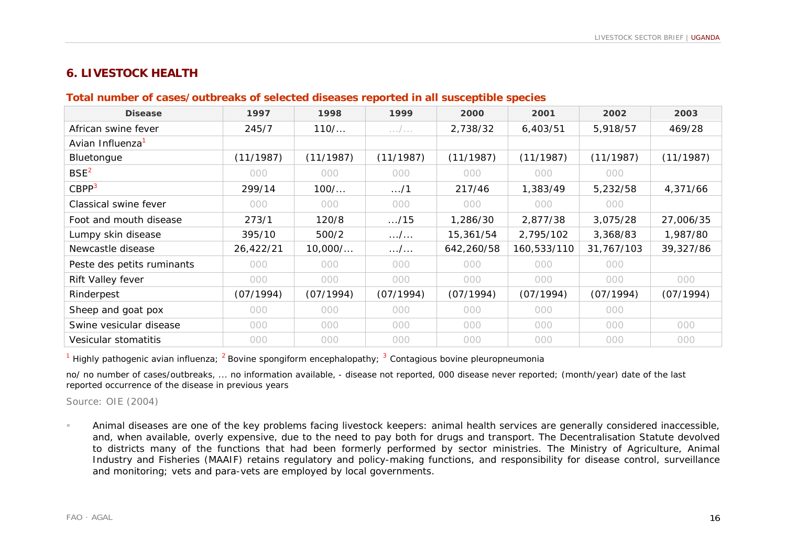# **6. LIVESTOCK HEALTH**

## **Total number of cases/outbreaks of selected diseases reported in all susceptible species**

| <b>Disease</b>               | 1997      | 1998      | 1999                | 2000       | 2001        | 2002       | 2003      |
|------------------------------|-----------|-----------|---------------------|------------|-------------|------------|-----------|
| African swine fever          | 245/7     | 110/      | $\ldots$ / $\ldots$ | 2,738/32   | 6,403/51    | 5,918/57   | 469/28    |
| Avian Influenza <sup>1</sup> |           |           |                     |            |             |            |           |
| Bluetongue                   | (11/1987) | (11/1987) | (11/1987)           | (11/1987)  | (11/1987)   | (11/1987)  | (11/1987) |
| BSE <sup>2</sup>             | 000       | 000       | 000                 | 000        | 000         | 000        |           |
| CBPP <sup>3</sup>            | 299/14    | $100/$    | $\dots/1$           | 217/46     | 1,383/49    | 5,232/58   | 4,371/66  |
| Classical swine fever        | 000       | 000       | 000                 | 000        | 000         | 000        |           |
| Foot and mouth disease       | 273/1     | 120/8     | $\ldots/15$         | 1,286/30   | 2,877/38    | 3,075/28   | 27,006/35 |
| Lumpy skin disease           | 395/10    | 500/2     | $\dots/$            | 15,361/54  | 2,795/102   | 3,368/83   | 1,987/80  |
| Newcastle disease            | 26,422/21 | 10,000/   | . /                 | 642,260/58 | 160,533/110 | 31,767/103 | 39,327/86 |
| Peste des petits ruminants   | 000       | 000       | 000                 | 000        | 000         | 000        |           |
| Rift Valley fever            | 000       | 000       | 000                 | 000        | 000         | 000        | 000       |
| Rinderpest                   | (07/1994) | (07/1994) | (07/1994)           | (07/1994)  | (07/1994)   | (07/1994)  | (07/1994) |
| Sheep and goat pox           | 000       | 000       | 000                 | 000        | 000         | 000        |           |
| Swine vesicular disease      | 000       | 000       | 000                 | 000        | 000         | 000        | 000       |
| Vesicular stomatitis         | 000       | 000       | 000                 | 000        | 000         | 000        | 000       |

<sup>1</sup> Highly pathogenic avian influenza; <sup>2</sup> Bovine spongiform encephalopathy; <sup>3</sup> Contagious bovine pleuropneumonia

no/ no number of cases/outbreaks, ... no information available, - disease not reported, 000 disease never reported; (month/year) date of the last reported occurrence of the disease in previous years

Source: OIE (2004)

! Animal diseases are one of the key problems facing livestock keepers: animal health services are generally considered inaccessible, and, when available, overly expensive, due to the need to pay both for drugs and transport. The Decentralisation Statute devolved to districts many of the functions that had been formerly performed by sector ministries. The Ministry of Agriculture, Animal Industry and Fisheries (MAAIF) retains regulatory and policy-making functions, and responsibility for disease control, surveillance and monitoring; vets and para-vets are employed by local governments.